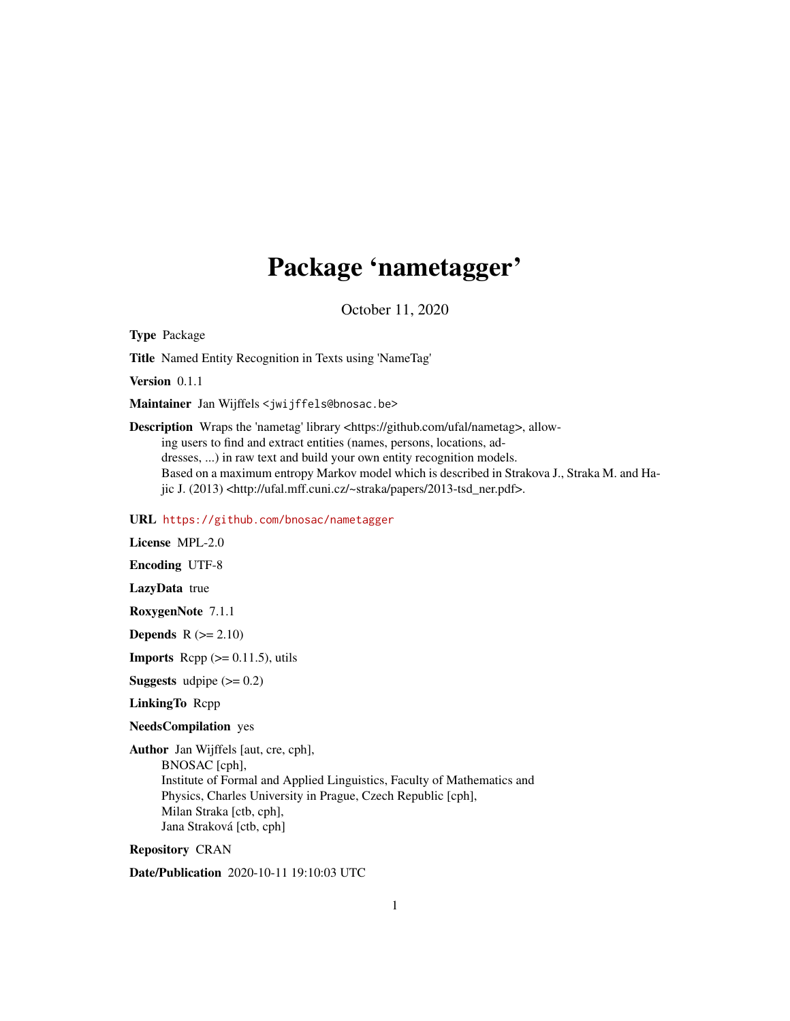## Package 'nametagger'

October 11, 2020

Type Package

Title Named Entity Recognition in Texts using 'NameTag'

Version 0.1.1

Maintainer Jan Wijffels <jwijffels@bnosac.be>

Description Wraps the 'nametag' library <https://github.com/ufal/nametag>, allowing users to find and extract entities (names, persons, locations, addresses, ...) in raw text and build your own entity recognition models. Based on a maximum entropy Markov model which is described in Strakova J., Straka M. and Hajic J. (2013) <http://ufal.mff.cuni.cz/~straka/papers/2013-tsd\_ner.pdf>.

#### URL <https://github.com/bnosac/nametagger>

License MPL-2.0

Encoding UTF-8

LazyData true

RoxygenNote 7.1.1

**Depends**  $R$  ( $>= 2.10$ )

**Imports** Rcpp  $(>= 0.11.5)$ , utils

**Suggests** udpipe  $(>= 0.2)$ 

LinkingTo Rcpp

NeedsCompilation yes

Author Jan Wijffels [aut, cre, cph], BNOSAC [cph], Institute of Formal and Applied Linguistics, Faculty of Mathematics and Physics, Charles University in Prague, Czech Republic [cph], Milan Straka [ctb, cph], Jana Straková [ctb, cph]

Repository CRAN

Date/Publication 2020-10-11 19:10:03 UTC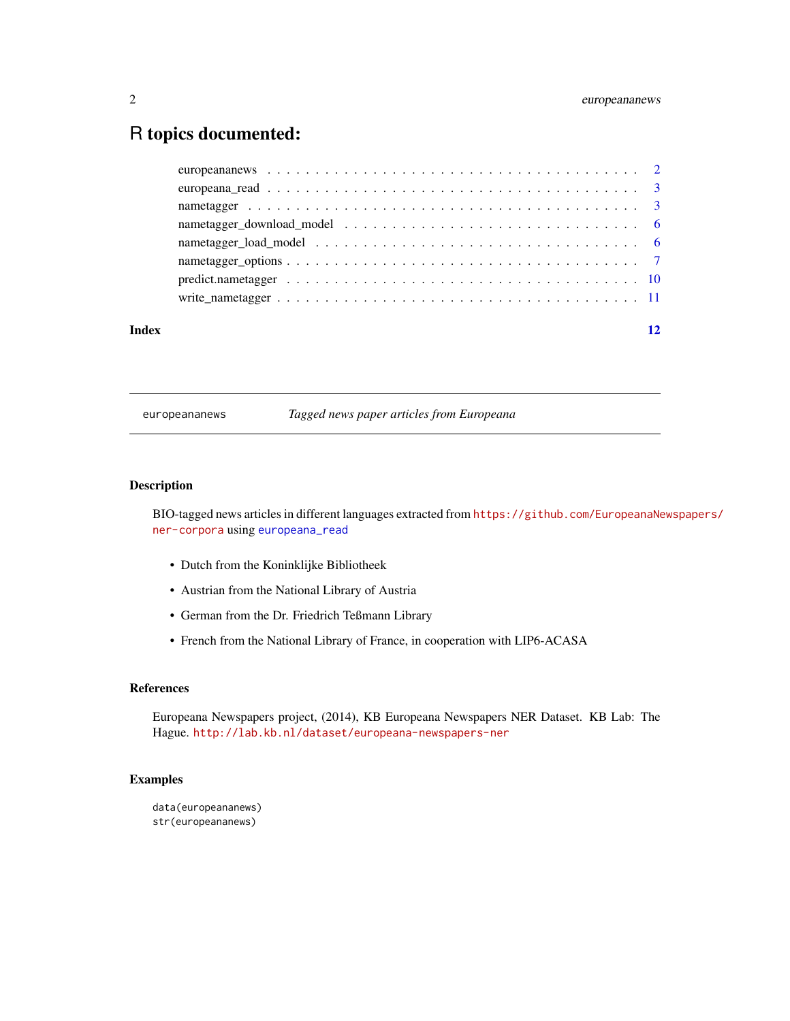### <span id="page-1-0"></span>R topics documented:

| Index |  |
|-------|--|
|       |  |
|       |  |
|       |  |
|       |  |
|       |  |
|       |  |
|       |  |
|       |  |

europeananews *Tagged news paper articles from Europeana*

#### Description

BIO-tagged news articles in different languages extracted from [https://github.com/EuropeanaNe](https://github.com/EuropeanaNewspapers/ner-corpora)wspapers/ [ner-corpora](https://github.com/EuropeanaNewspapers/ner-corpora) using [europeana\\_read](#page-2-1)

- Dutch from the Koninklijke Bibliotheek
- Austrian from the National Library of Austria
- German from the Dr. Friedrich Teßmann Library
- French from the National Library of France, in cooperation with LIP6-ACASA

#### References

Europeana Newspapers project, (2014), KB Europeana Newspapers NER Dataset. KB Lab: The Hague. <http://lab.kb.nl/dataset/europeana-newspapers-ner>

```
data(europeananews)
str(europeananews)
```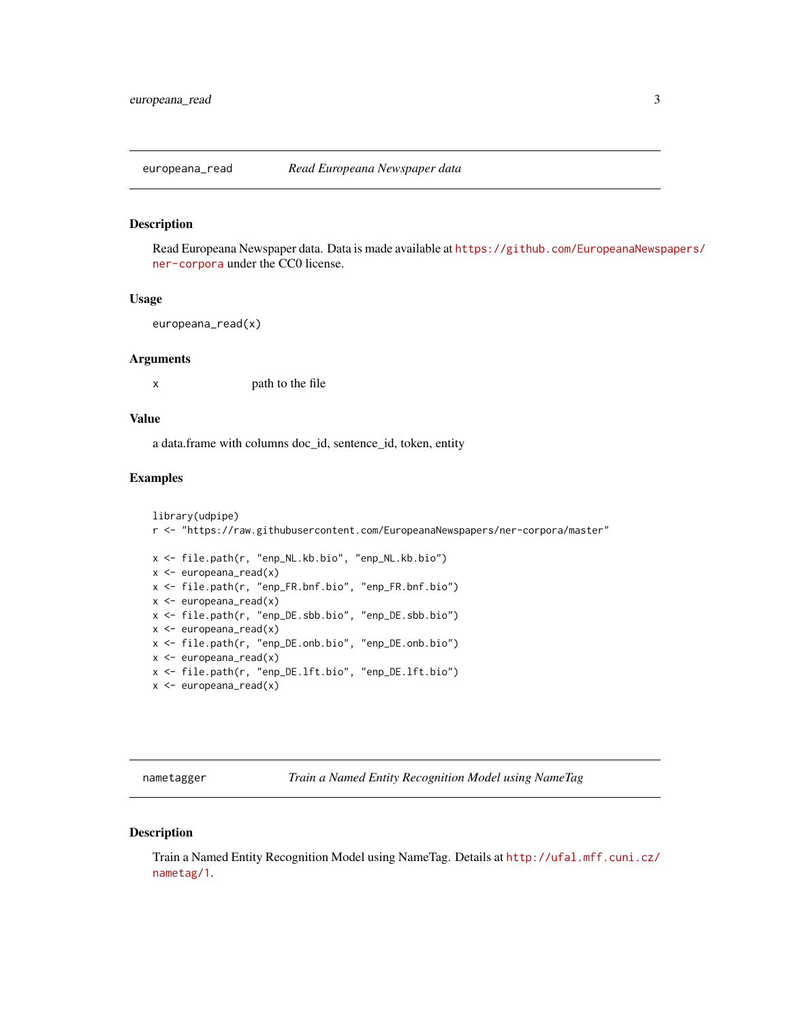<span id="page-2-1"></span><span id="page-2-0"></span>europeana\_read *Read Europeana Newspaper data*

#### Description

Read Europeana Newspaper data. Data is made available at [https://github.com/EuropeanaNewsp](https://github.com/EuropeanaNewspapers/ner-corpora)apers/ [ner-corpora](https://github.com/EuropeanaNewspapers/ner-corpora) under the CC0 license.

#### Usage

europeana\_read(x)

#### Arguments

x path to the file

#### Value

a data.frame with columns doc\_id, sentence\_id, token, entity

#### Examples

```
library(udpipe)
r <- "https://raw.githubusercontent.com/EuropeanaNewspapers/ner-corpora/master"
x <- file.path(r, "enp_NL.kb.bio", "enp_NL.kb.bio")
x <- europeana_read(x)
x <- file.path(r, "enp_FR.bnf.bio", "enp_FR.bnf.bio")
x <- europeana_read(x)
x <- file.path(r, "enp_DE.sbb.bio", "enp_DE.sbb.bio")
x \leftarrow europeana_read(x)
x <- file.path(r, "enp_DE.onb.bio", "enp_DE.onb.bio")
x \le - europeana_read(x)
x <- file.path(r, "enp_DE.lft.bio", "enp_DE.lft.bio")
x \le europeana_read(x)
```
<span id="page-2-2"></span>nametagger *Train a Named Entity Recognition Model using NameTag*

#### Description

Train a Named Entity Recognition Model using NameTag. Details at [http://ufal.mff.cuni.cz/](http://ufal.mff.cuni.cz/nametag/1) [nametag/1](http://ufal.mff.cuni.cz/nametag/1).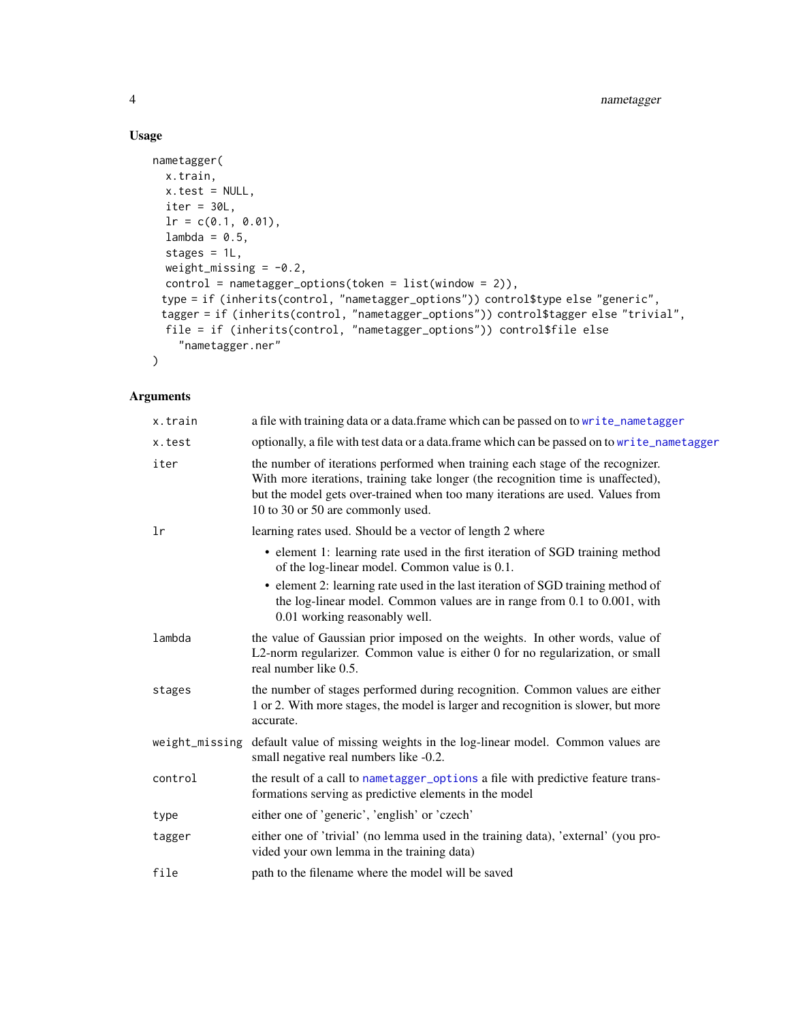#### Usage

```
nametagger(
 x.train,
 x.test = NULL,iter = 30L,lr = c(0.1, 0.01),lambda = 0.5,
  stages = 1L,
 weight_missing = -0.2,
 control = nametagger_options(token = list(window = 2)),
 type = if (inherits(control, "nametagger_options")) control$type else "generic",
 tagger = if (inherits(control, "nametagger_options")) control$tagger else "trivial",
 file = if (inherits(control, "nametagger_options")) control$file else
    "nametagger.ner"
\mathcal{L}
```
#### Arguments

| x.train | a file with training data or a data.frame which can be passed on to write_nametagger                                                                                                                                                                                                                                           |
|---------|--------------------------------------------------------------------------------------------------------------------------------------------------------------------------------------------------------------------------------------------------------------------------------------------------------------------------------|
| x.test  | optionally, a file with test data or a data.frame which can be passed on to write_nametagger                                                                                                                                                                                                                                   |
| iter    | the number of iterations performed when training each stage of the recognizer.<br>With more iterations, training take longer (the recognition time is unaffected),<br>but the model gets over-trained when too many iterations are used. Values from<br>10 to 30 or 50 are commonly used.                                      |
| lr      | learning rates used. Should be a vector of length 2 where                                                                                                                                                                                                                                                                      |
|         | • element 1: learning rate used in the first iteration of SGD training method<br>of the log-linear model. Common value is 0.1.<br>• element 2: learning rate used in the last iteration of SGD training method of<br>the log-linear model. Common values are in range from 0.1 to 0.001, with<br>0.01 working reasonably well. |
| lambda  | the value of Gaussian prior imposed on the weights. In other words, value of<br>L2-norm regularizer. Common value is either 0 for no regularization, or small<br>real number like 0.5.                                                                                                                                         |
| stages  | the number of stages performed during recognition. Common values are either<br>1 or 2. With more stages, the model is larger and recognition is slower, but more<br>accurate.                                                                                                                                                  |
|         | weight_missing default value of missing weights in the log-linear model. Common values are<br>small negative real numbers like -0.2.                                                                                                                                                                                           |
| control | the result of a call to nametagger_options a file with predictive feature trans-<br>formations serving as predictive elements in the model                                                                                                                                                                                     |
| type    | either one of 'generic', 'english' or 'czech'                                                                                                                                                                                                                                                                                  |
| tagger  | either one of 'trivial' (no lemma used in the training data), 'external' (you pro-<br>vided your own lemma in the training data)                                                                                                                                                                                               |
| file    | path to the filename where the model will be saved                                                                                                                                                                                                                                                                             |

<span id="page-3-0"></span>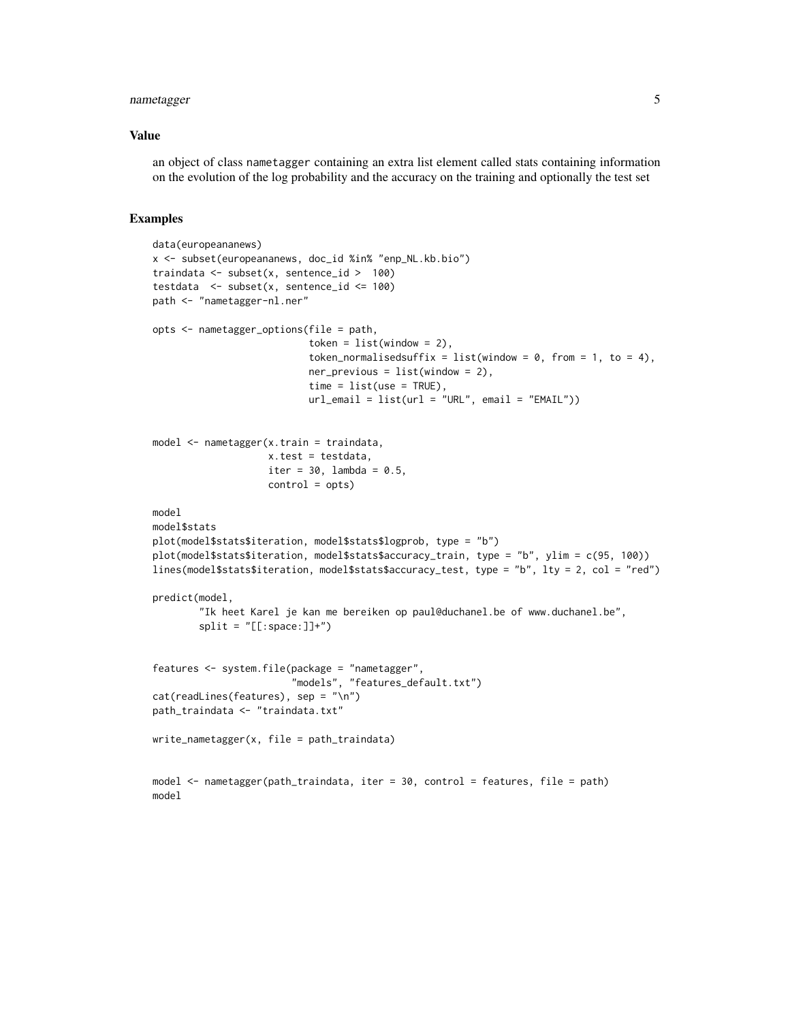#### nametagger 5

#### Value

an object of class nametagger containing an extra list element called stats containing information on the evolution of the log probability and the accuracy on the training and optionally the test set

```
data(europeananews)
x <- subset(europeananews, doc_id %in% "enp_NL.kb.bio")
traindata <- subset(x, sentence_id > 100)
testdata <- subset(x, sentence_id <= 100)
path <- "nametagger-nl.ner"
opts <- nametagger_options(file = path,
                           token = list(window = 2),
                           token_normalisedsuffix = list(window = 0, from = 1, to = 4),
                           ner\_previous = list(window = 2),
                           time = list(use = TRUE),url_{email} = list(url = "URL", email = "EMAIL"))model <- nametagger(x.train = traindata,
                    x.test = testdata,
                    iter = 30, lambda = 0.5,
                    control = opts)
model
model$stats
plot(model$stats$iteration, model$stats$logprob, type = "b")
plot(model$stats$iteration, model$stats$accuracy_train, type = "b", ylim = c(95, 100))
lines(model$stats$iteration, model$stats$accuracy_test, type = "b", lty = 2, col = "red")
predict(model,
        "Ik heet Karel je kan me bereiken op paul@duchanel.be of www.duchanel.be",
        split = "[[:space:]]+")features <- system.file(package = "nametagger",
                        "models", "features_default.txt")
cat(readLines(features), sep = "\n")
path_traindata <- "traindata.txt"
write_nametagger(x, file = path_traindata)
model <- nametagger(path_traindata, iter = 30, control = features, file = path)
model
```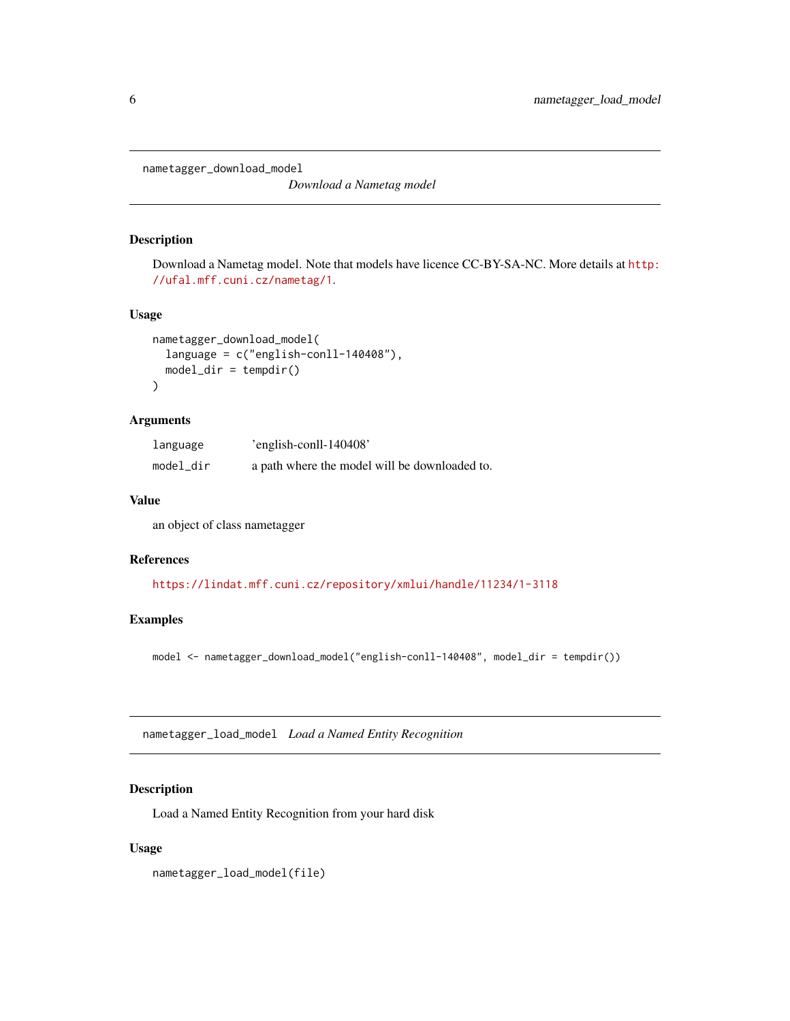<span id="page-5-0"></span>nametagger\_download\_model

*Download a Nametag model*

#### Description

Download a Nametag model. Note that models have licence CC-BY-SA-NC. More details at [http:](http://ufal.mff.cuni.cz/nametag/1) [//ufal.mff.cuni.cz/nametag/1](http://ufal.mff.cuni.cz/nametag/1).

#### Usage

```
nametagger_download_model(
  language = c("english-conll-140408"),
 model\_dir = tempdir())
```
#### Arguments

| language  | 'english-conll- $140408'$                     |
|-----------|-----------------------------------------------|
| model_dir | a path where the model will be downloaded to. |

#### Value

an object of class nametagger

#### References

<https://lindat.mff.cuni.cz/repository/xmlui/handle/11234/1-3118>

#### Examples

model <- nametagger\_download\_model("english-conll-140408", model\_dir = tempdir())

<span id="page-5-1"></span>nametagger\_load\_model *Load a Named Entity Recognition*

#### Description

Load a Named Entity Recognition from your hard disk

#### Usage

nametagger\_load\_model(file)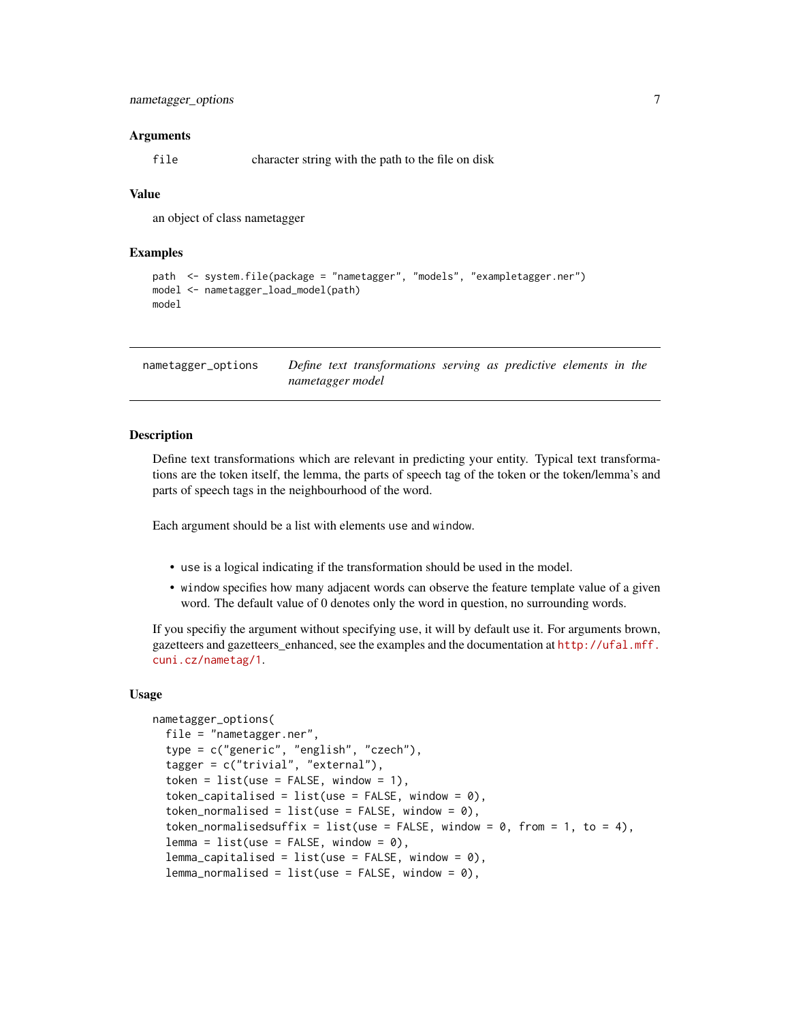#### <span id="page-6-0"></span>Arguments

file character string with the path to the file on disk

#### Value

an object of class nametagger

#### Examples

```
path <- system.file(package = "nametagger", "models", "exampletagger.ner")
model <- nametagger_load_model(path)
model
```
<span id="page-6-1"></span>nametagger\_options *Define text transformations serving as predictive elements in the nametagger model*

#### **Description**

Define text transformations which are relevant in predicting your entity. Typical text transformations are the token itself, the lemma, the parts of speech tag of the token or the token/lemma's and parts of speech tags in the neighbourhood of the word.

Each argument should be a list with elements use and window.

- use is a logical indicating if the transformation should be used in the model.
- window specifies how many adjacent words can observe the feature template value of a given word. The default value of 0 denotes only the word in question, no surrounding words.

If you specifiy the argument without specifying use, it will by default use it. For arguments brown, gazetteers and gazetteers\_enhanced, see the examples and the documentation at [http://ufal.mff.](http://ufal.mff.cuni.cz/nametag/1) [cuni.cz/nametag/1](http://ufal.mff.cuni.cz/nametag/1).

#### Usage

```
nametagger_options(
  file = "nametagger.ner",
  type = c("generic", "english", "czech"),
  tagger = c("trivial", "external"),
  token = list(use = FALSE, window = 1),
  token_capitalised = list(use = FALSE, window = \theta),
  token_normalised = list(use = FALSE, window = \theta),
  token_normalisedsuffix = list(use = FALSE, window = 0, from = 1, to = 4),
  lemma = list(use = FALSE, window = 0),lemma\_capitalised = list(use = FALSE, window = 0),lemma_normalised = list(use = FALSE, window = 0),
```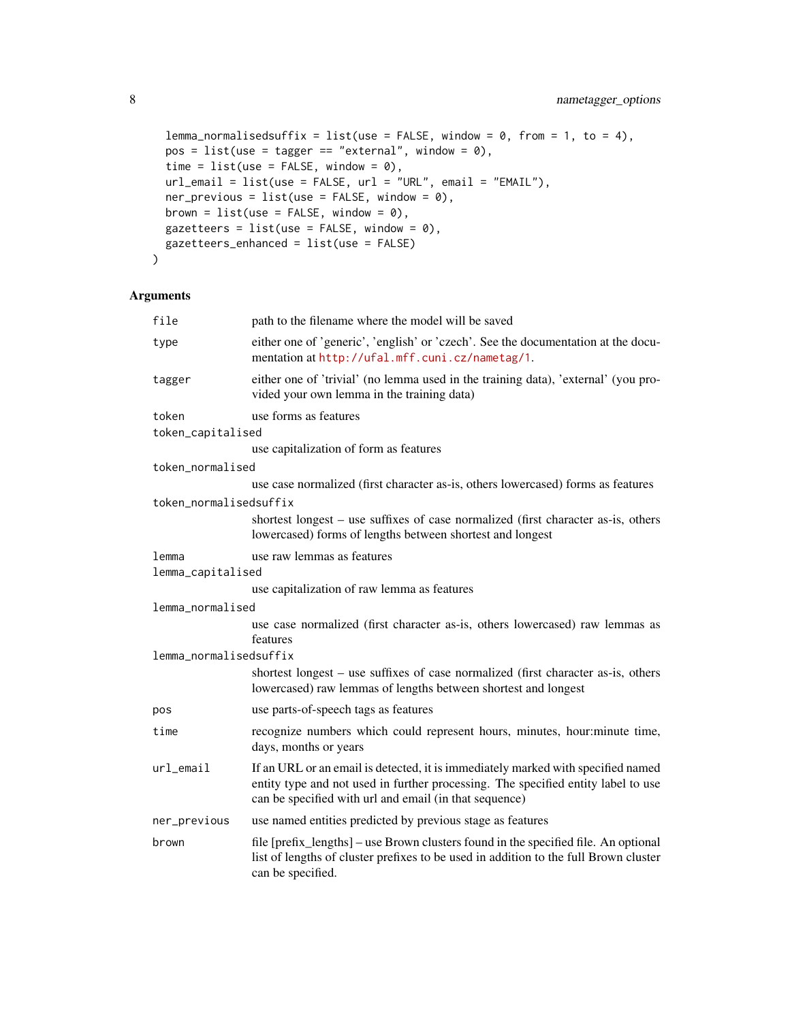```
lemma_normalisedsuffix = list(use = FALSE, window = 0, from = 1, to = 4),
pos = list(use = tagger == "external", window = 0),time = list(use = FALSE, window = 0),url_{email} = list(use = FALSE, url = "URL", email = "EMAIL"),ner\_previous = list(use = FALSE, window = 0),brown = list(use = FALSE, window = 0),gazetteers = list(use = FALSE, window = 0),
gazetteers_enhanced = list(use = FALSE)
```
#### Arguments

 $\mathcal{L}$ 

| file                    | path to the filename where the model will be saved                                                                                                                                                                              |
|-------------------------|---------------------------------------------------------------------------------------------------------------------------------------------------------------------------------------------------------------------------------|
| type                    | either one of 'generic', 'english' or 'czech'. See the documentation at the docu-<br>mentation at http://ufal.mff.cuni.cz/nametag/1.                                                                                            |
| tagger                  | either one of 'trivial' (no lemma used in the training data), 'external' (you pro-<br>vided your own lemma in the training data)                                                                                                |
| token                   | use forms as features                                                                                                                                                                                                           |
| token_capitalised       |                                                                                                                                                                                                                                 |
|                         | use capitalization of form as features                                                                                                                                                                                          |
| token_normalised        |                                                                                                                                                                                                                                 |
|                         | use case normalized (first character as-is, others lowercased) forms as features                                                                                                                                                |
| token normalisedsuffix  |                                                                                                                                                                                                                                 |
|                         | shortest longest – use suffixes of case normalized (first character as-is, others<br>lowercased) forms of lengths between shortest and longest                                                                                  |
| lemma                   | use raw lemmas as features                                                                                                                                                                                                      |
| lemma_capitalised       |                                                                                                                                                                                                                                 |
|                         | use capitalization of raw lemma as features                                                                                                                                                                                     |
| lemma_normalised        |                                                                                                                                                                                                                                 |
|                         | use case normalized (first character as-is, others lowercased) raw lemmas as<br>features                                                                                                                                        |
| lemma_normalisedsuffix  |                                                                                                                                                                                                                                 |
|                         | shortest longest – use suffixes of case normalized (first character as-is, others<br>lowercased) raw lemmas of lengths between shortest and longest                                                                             |
| pos                     | use parts-of-speech tags as features                                                                                                                                                                                            |
| time                    | recognize numbers which could represent hours, minutes, hour: minute time,<br>days, months or years                                                                                                                             |
| $url$ <sub>-email</sub> | If an URL or an email is detected, it is immediately marked with specified named<br>entity type and not used in further processing. The specified entity label to use<br>can be specified with url and email (in that sequence) |
| ner_previous            | use named entities predicted by previous stage as features                                                                                                                                                                      |
| brown                   | file [prefix_lengths] – use Brown clusters found in the specified file. An optional<br>list of lengths of cluster prefixes to be used in addition to the full Brown cluster<br>can be specified.                                |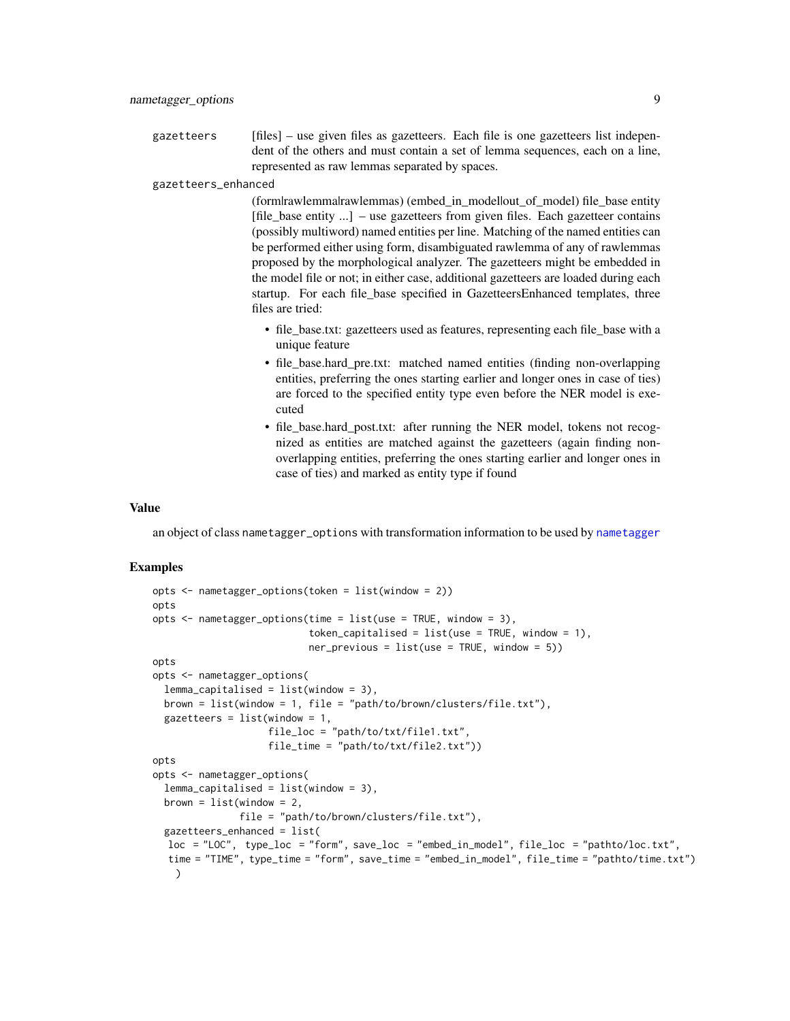<span id="page-8-0"></span>gazetteers [files] – use given files as gazetteers. Each file is one gazetteers list independent of the others and must contain a set of lemma sequences, each on a line, represented as raw lemmas separated by spaces.

gazetteers\_enhanced

(form|rawlemma|rawlemmas) (embed\_in\_model|out\_of\_model) file\_base entity [file\_base entity ...] – use gazetteers from given files. Each gazetteer contains (possibly multiword) named entities per line. Matching of the named entities can be performed either using form, disambiguated rawlemma of any of rawlemmas proposed by the morphological analyzer. The gazetteers might be embedded in the model file or not; in either case, additional gazetteers are loaded during each startup. For each file\_base specified in GazetteersEnhanced templates, three files are tried:

- file base.txt: gazetteers used as features, representing each file base with a unique feature
- file\_base.hard\_pre.txt: matched named entities (finding non-overlapping entities, preferring the ones starting earlier and longer ones in case of ties) are forced to the specified entity type even before the NER model is executed
- file base.hard post.txt: after running the NER model, tokens not recognized as entities are matched against the gazetteers (again finding nonoverlapping entities, preferring the ones starting earlier and longer ones in case of ties) and marked as entity type if found

#### Value

an object of class nametagger\_options with transformation information to be used by [nametagger](#page-2-2)

```
opts <- nametagger_options(token = list(window = 2))
opts
opts \leq nametagger_options(time = list(use = TRUE, window = 3),
                           token_capitalised = list(use = TRUE, window = 1),
                           ner\_previous = list(use = TRUE, window = 5)opts
opts <- nametagger_options(
 lemma\_capitalised = list(window = 3),
 brown = list(window = 1, file = "path/to/brown/clusters/file.txt"),
 gazetteers = list(window = 1,file_loc = "path/to/txt/file1.txt",
                    file_time = "path/to/txt/file2.txt"))
opts
opts <- nametagger_options(
 lemma_capitalised = list(window = 3),
 brown = list(window = 2,file = "path/to/brown/clusters/file.txt"),
 gazetteers_enhanced = list(
  loc = "LOC", type\_loc = "form", save\_loc = "embed_in_model", file\_loc = "pathto/loc.txt",time = "TIME", type_time = "form", save_time = "embed_in_model", file_time = "pathto/time.txt")
   )
```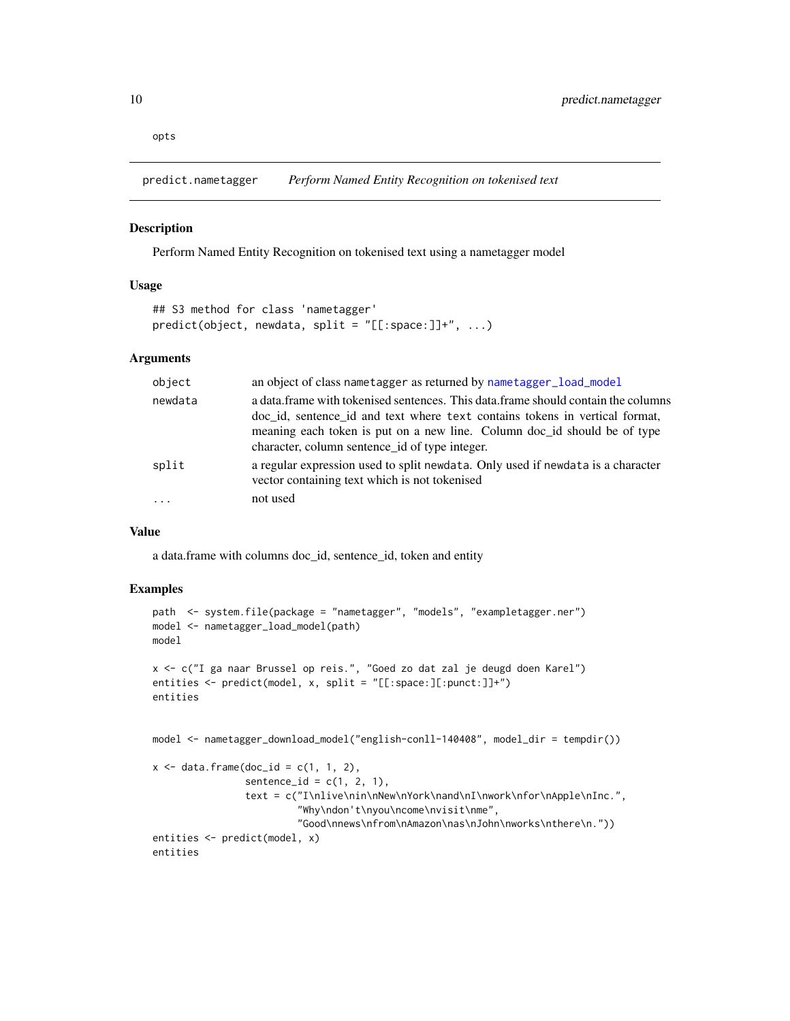<span id="page-9-0"></span>opts

predict.nametagger *Perform Named Entity Recognition on tokenised text*

#### Description

Perform Named Entity Recognition on tokenised text using a nametagger model

#### Usage

```
## S3 method for class 'nametagger'
predict(object, newdata, split = "[[:space:]]+", ...)
```
#### Arguments

| object  | an object of class name tagger as returned by name tagger load model                                                                                             |
|---------|------------------------------------------------------------------------------------------------------------------------------------------------------------------|
| newdata | a data frame with tokenised sentences. This data frame should contain the columns<br>doc id, sentence id and text where text contains tokens in vertical format, |
|         | meaning each token is put on a new line. Column doc_id should be of type                                                                                         |
|         | character, column sentence id of type integer.                                                                                                                   |
| split   | a regular expression used to split newdata. Only used if newdata is a character<br>vector containing text which is not tokenised                                 |
| $\cdot$ | not used                                                                                                                                                         |

#### Value

a data.frame with columns doc\_id, sentence\_id, token and entity

```
path <- system.file(package = "nametagger", "models", "exampletagger.ner")
model <- nametagger_load_model(path)
model
x <- c("I ga naar Brussel op reis.", "Goed zo dat zal je deugd doen Karel")
entities <- predict(model, x, split = "[[:space:][:punct:]]+")
entities
model <- nametagger_download_model("english-conll-140408", model_dir = tempdir())
x \le - data.frame(doc_id = c(1, 1, 2),
                sentence_id = c(1, 2, 1),text = c("I\nlive\nin\nNew\nYork\nand\nI\nwork\nfor\nApple\nInc.",
                         "Why\ndon't\nyou\ncome\nvisit\nme",
                         "Good\nnews\nfrom\nAmazon\nas\nJohn\nworks\nthere\n."))
entities <- predict(model, x)
entities
```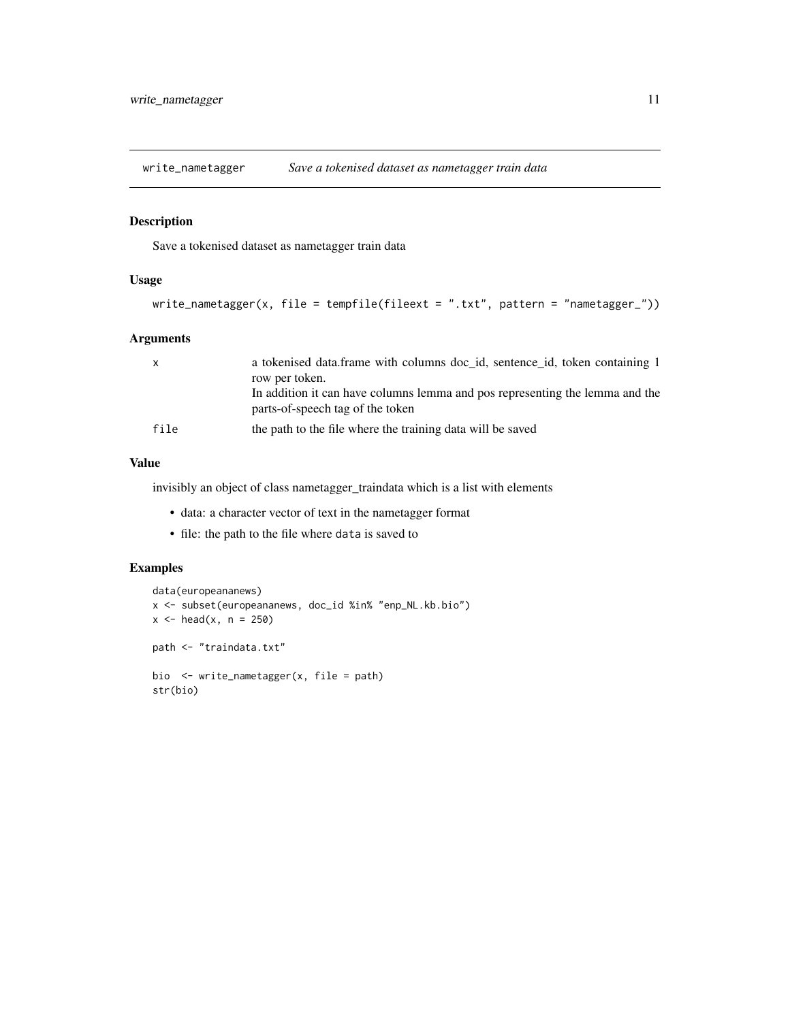<span id="page-10-1"></span><span id="page-10-0"></span>

#### Description

Save a tokenised dataset as nametagger train data

#### Usage

```
write_nametagger(x, file = tempfile(fileext = ".txt", pattern = "nametagger_"))
```
#### Arguments

| $\mathsf{x}$ | a tokenised data.frame with columns doc_id, sentence_id, token containing 1<br>row per token.                    |
|--------------|------------------------------------------------------------------------------------------------------------------|
|              | In addition it can have columns lemma and pos representing the lemma and the<br>parts-of-speech tag of the token |
| file         | the path to the file where the training data will be saved                                                       |

#### Value

invisibly an object of class nametagger\_traindata which is a list with elements

- data: a character vector of text in the nametagger format
- file: the path to the file where data is saved to

```
data(europeananews)
x <- subset(europeananews, doc_id %in% "enp_NL.kb.bio")
x < - head(x, n = 250)
path <- "traindata.txt"
bio <- write_nametagger(x, file = path)
str(bio)
```